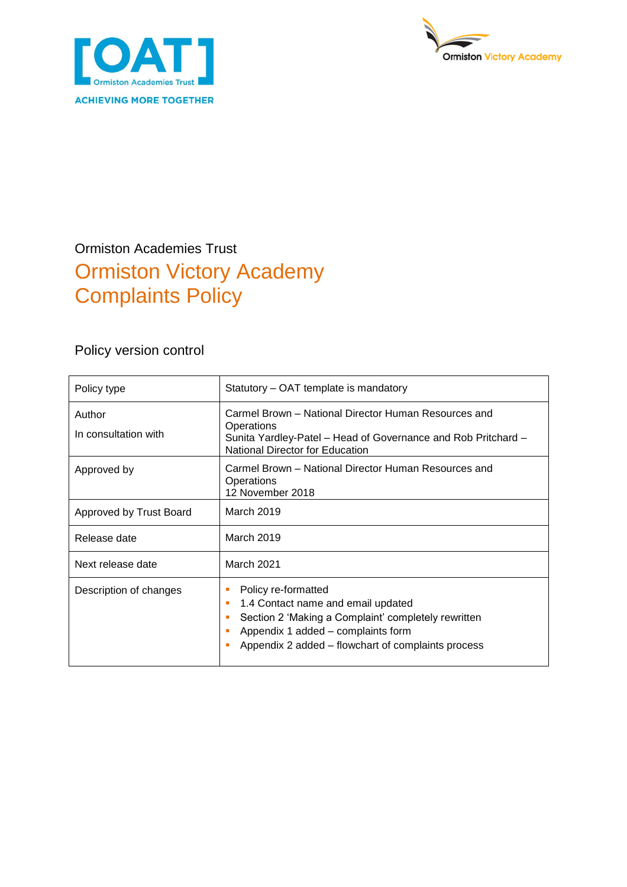



## Ormiston Academies Trust Ormiston Victory Academy Complaints Policy

Policy version control

| Policy type                    | Statutory – OAT template is mandatory                                                                                                                                                                             |  |
|--------------------------------|-------------------------------------------------------------------------------------------------------------------------------------------------------------------------------------------------------------------|--|
| Author<br>In consultation with | Carmel Brown – National Director Human Resources and<br>Operations<br>Sunita Yardley-Patel – Head of Governance and Rob Pritchard –<br>National Director for Education                                            |  |
| Approved by                    | Carmel Brown – National Director Human Resources and<br>Operations<br>12 November 2018                                                                                                                            |  |
| Approved by Trust Board        | March 2019                                                                                                                                                                                                        |  |
| Release date                   | March 2019                                                                                                                                                                                                        |  |
| Next release date              | <b>March 2021</b>                                                                                                                                                                                                 |  |
| Description of changes         | Policy re-formatted<br>1.4 Contact name and email updated<br>п<br>Section 2 'Making a Complaint' completely rewritten<br>Appendix 1 added – complaints form<br>Appendix 2 added – flowchart of complaints process |  |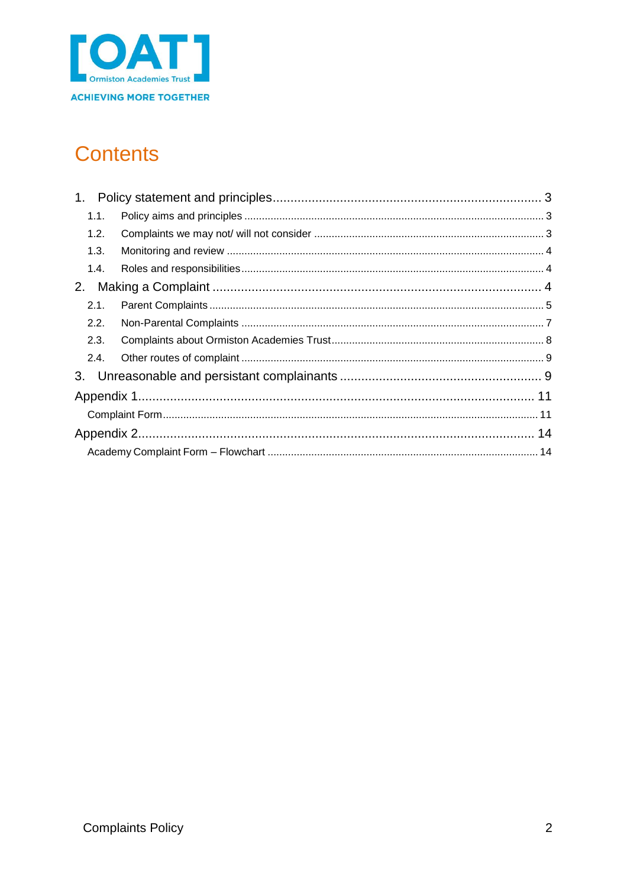

## **Contents**

| 1.   |  |  |  |
|------|--|--|--|
| 1.1. |  |  |  |
| 1.2. |  |  |  |
| 1.3. |  |  |  |
| 1.4. |  |  |  |
| 2.   |  |  |  |
| 2.1. |  |  |  |
| 2.2. |  |  |  |
| 2.3. |  |  |  |
| 2.4. |  |  |  |
| 3.   |  |  |  |
|      |  |  |  |
|      |  |  |  |
|      |  |  |  |
|      |  |  |  |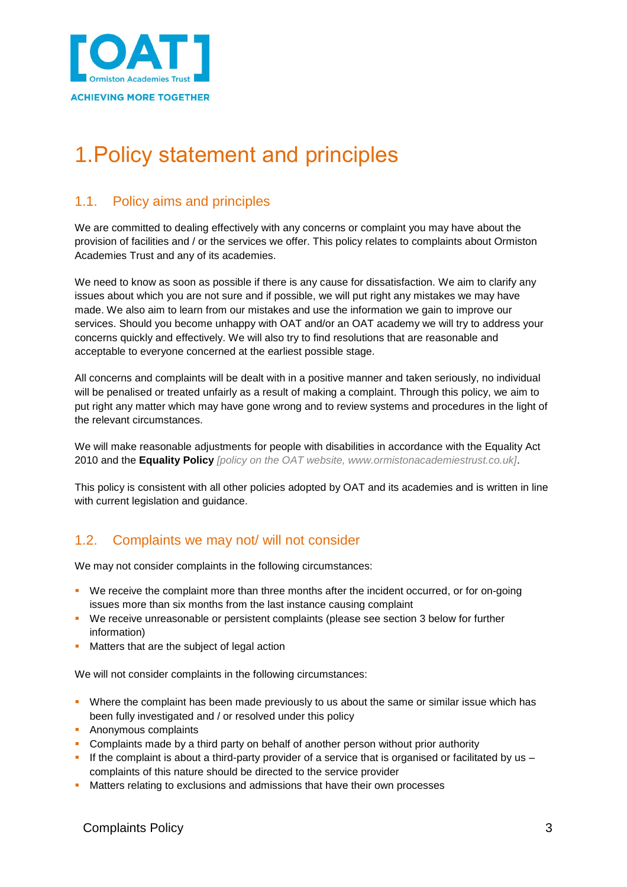

# <span id="page-2-0"></span>1.Policy statement and principles

## <span id="page-2-1"></span>1.1. Policy aims and principles

We are committed to dealing effectively with any concerns or complaint you may have about the provision of facilities and / or the services we offer. This policy relates to complaints about Ormiston Academies Trust and any of its academies.

We need to know as soon as possible if there is any cause for dissatisfaction. We aim to clarify any issues about which you are not sure and if possible, we will put right any mistakes we may have made. We also aim to learn from our mistakes and use the information we gain to improve our services. Should you become unhappy with OAT and/or an OAT academy we will try to address your concerns quickly and effectively. We will also try to find resolutions that are reasonable and acceptable to everyone concerned at the earliest possible stage.

All concerns and complaints will be dealt with in a positive manner and taken seriously, no individual will be penalised or treated unfairly as a result of making a complaint. Through this policy, we aim to put right any matter which may have gone wrong and to review systems and procedures in the light of the relevant circumstances.

We will make reasonable adjustments for people with disabilities in accordance with the Equality Act 2010 and the **Equality Policy** *[policy on the OAT website, www.ormistonacademiestrust.co.uk]*.

This policy is consistent with all other policies adopted by OAT and its academies and is written in line with current legislation and guidance.

### <span id="page-2-2"></span>1.2. Complaints we may not/ will not consider

We may not consider complaints in the following circumstances:

- We receive the complaint more than three months after the incident occurred, or for on-going issues more than six months from the last instance causing complaint
- We receive unreasonable or persistent complaints (please see section 3 below for further information)
- Matters that are the subject of legal action

We will not consider complaints in the following circumstances:

- Where the complaint has been made previously to us about the same or similar issue which has been fully investigated and / or resolved under this policy
- **Anonymous complaints**
- Complaints made by a third party on behalf of another person without prior authority
- If the complaint is about a third-party provider of a service that is organised or facilitated by us  $$ complaints of this nature should be directed to the service provider
- **Matters relating to exclusions and admissions that have their own processes**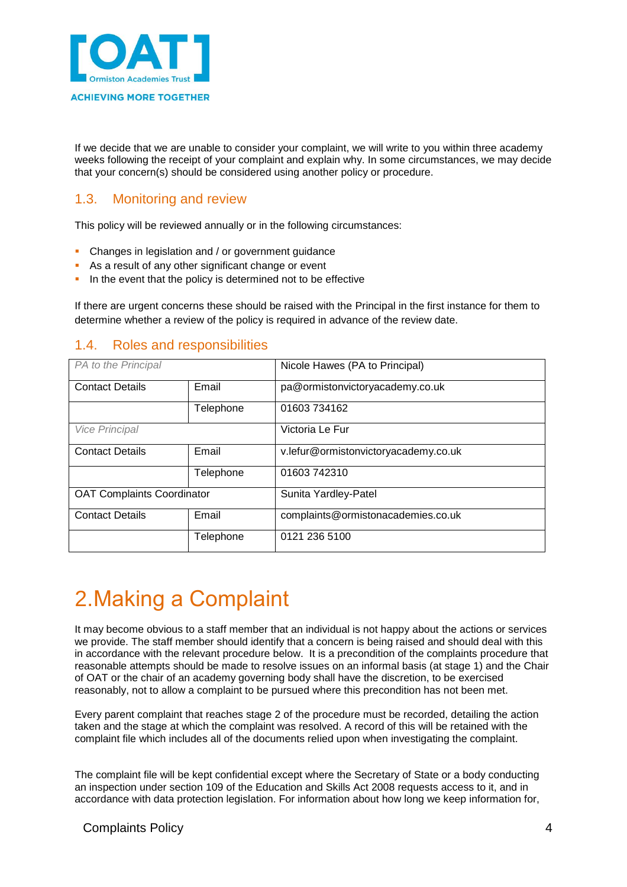

If we decide that we are unable to consider your complaint, we will write to you within three academy weeks following the receipt of your complaint and explain why. In some circumstances, we may decide that your concern(s) should be considered using another policy or procedure.

### <span id="page-3-0"></span>1.3. Monitoring and review

This policy will be reviewed annually or in the following circumstances:

- Changes in legislation and / or government guidance
- As a result of any other significant change or event
- In the event that the policy is determined not to be effective

If there are urgent concerns these should be raised with the Principal in the first instance for them to determine whether a review of the policy is required in advance of the review date.

### <span id="page-3-1"></span>1.4. Roles and responsibilities

| PA to the Principal               |           | Nicole Hawes (PA to Principal)       |
|-----------------------------------|-----------|--------------------------------------|
| <b>Contact Details</b><br>Email   |           | pa@ormistonvictoryacademy.co.uk      |
|                                   | Telephone | 01603 734162                         |
| <b>Vice Principal</b>             |           | Victoria Le Fur                      |
| <b>Contact Details</b>            | Email     | v.lefur@ormistonvictoryacademy.co.uk |
|                                   | Telephone | 01603742310                          |
| <b>OAT Complaints Coordinator</b> |           | Sunita Yardley-Patel                 |
| <b>Contact Details</b>            | Email     | complaints@ormistonacademies.co.uk   |
|                                   | Telephone | 0121 236 5100                        |

## <span id="page-3-2"></span>2.Making a Complaint

It may become obvious to a staff member that an individual is not happy about the actions or services we provide. The staff member should identify that a concern is being raised and should deal with this in accordance with the relevant procedure below. It is a precondition of the complaints procedure that reasonable attempts should be made to resolve issues on an informal basis (at stage 1) and the Chair of OAT or the chair of an academy governing body shall have the discretion, to be exercised reasonably, not to allow a complaint to be pursued where this precondition has not been met.

Every parent complaint that reaches stage 2 of the procedure must be recorded, detailing the action taken and the stage at which the complaint was resolved. A record of this will be retained with the complaint file which includes all of the documents relied upon when investigating the complaint.

The complaint file will be kept confidential except where the Secretary of State or a body conducting an inspection under section 109 of the Education and Skills Act 2008 requests access to it, and in accordance with data protection legislation. For information about how long we keep information for,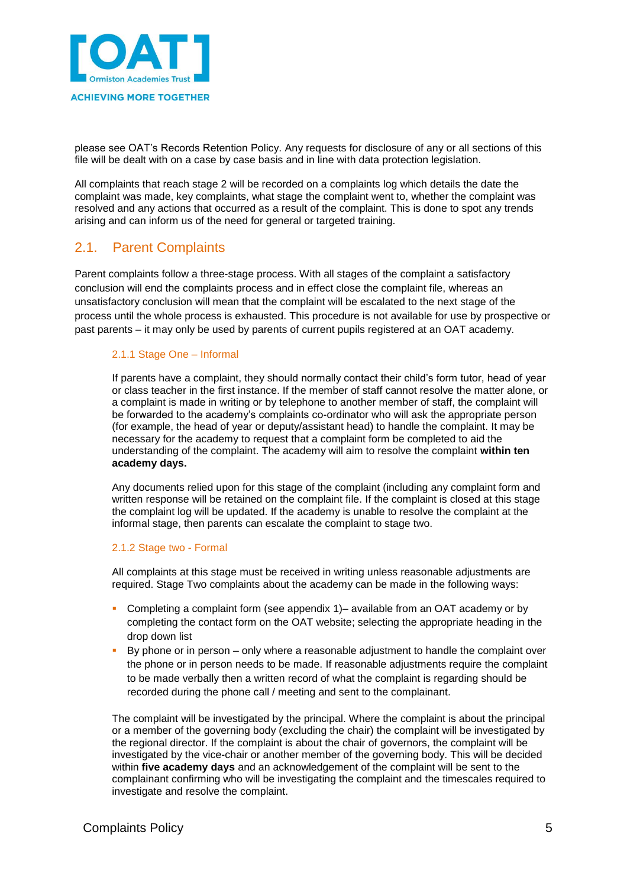

please see OAT's Records Retention Policy. Any requests for disclosure of any or all sections of this file will be dealt with on a case by case basis and in line with data protection legislation.

All complaints that reach stage 2 will be recorded on a complaints log which details the date the complaint was made, key complaints, what stage the complaint went to, whether the complaint was resolved and any actions that occurred as a result of the complaint. This is done to spot any trends arising and can inform us of the need for general or targeted training.

### <span id="page-4-0"></span>2.1. Parent Complaints

Parent complaints follow a three-stage process. With all stages of the complaint a satisfactory conclusion will end the complaints process and in effect close the complaint file, whereas an unsatisfactory conclusion will mean that the complaint will be escalated to the next stage of the process until the whole process is exhausted. This procedure is not available for use by prospective or past parents – it may only be used by parents of current pupils registered at an OAT academy.

#### 2.1.1 Stage One – Informal

If parents have a complaint, they should normally contact their child's form tutor, head of year or class teacher in the first instance. If the member of staff cannot resolve the matter alone, or a complaint is made in writing or by telephone to another member of staff, the complaint will be forwarded to the academy's complaints co-ordinator who will ask the appropriate person (for example, the head of year or deputy/assistant head) to handle the complaint. It may be necessary for the academy to request that a complaint form be completed to aid the understanding of the complaint. The academy will aim to resolve the complaint **within ten academy days.**

Any documents relied upon for this stage of the complaint (including any complaint form and written response will be retained on the complaint file. If the complaint is closed at this stage the complaint log will be updated. If the academy is unable to resolve the complaint at the informal stage, then parents can escalate the complaint to stage two.

#### 2.1.2 Stage two - Formal

All complaints at this stage must be received in writing unless reasonable adjustments are required. Stage Two complaints about the academy can be made in the following ways:

- Completing a complaint form (see appendix 1)– available from an OAT academy or by completing the contact form on the [OAT website;](http://www.ormistonacademiestrust.co.uk/contact) selecting the appropriate heading in the drop down list
- By phone or in person only where a reasonable adjustment to handle the complaint over the phone or in person needs to be made. If reasonable adjustments require the complaint to be made verbally then a written record of what the complaint is regarding should be recorded during the phone call / meeting and sent to the complainant.

The complaint will be investigated by the principal. Where the complaint is about the principal or a member of the governing body (excluding the chair) the complaint will be investigated by the regional director. If the complaint is about the chair of governors, the complaint will be investigated by the vice-chair or another member of the governing body. This will be decided within **five academy days** and an acknowledgement of the complaint will be sent to the complainant confirming who will be investigating the complaint and the timescales required to investigate and resolve the complaint.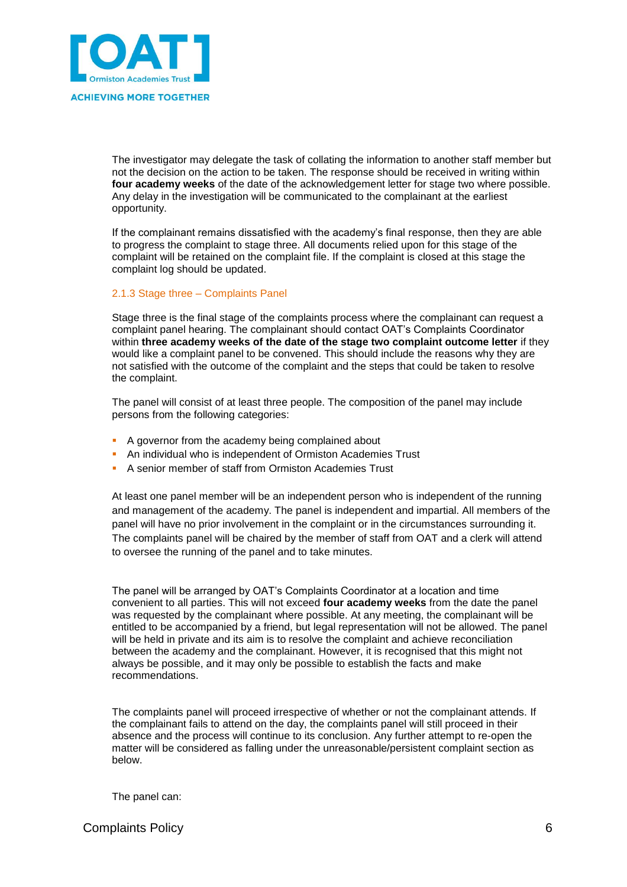

The investigator may delegate the task of collating the information to another staff member but not the decision on the action to be taken. The response should be received in writing within **four academy weeks** of the date of the acknowledgement letter for stage two where possible. Any delay in the investigation will be communicated to the complainant at the earliest opportunity.

If the complainant remains dissatisfied with the academy's final response, then they are able to progress the complaint to stage three. All documents relied upon for this stage of the complaint will be retained on the complaint file. If the complaint is closed at this stage the complaint log should be updated.

#### 2.1.3 Stage three – Complaints Panel

Stage three is the final stage of the complaints process where the complainant can request a complaint panel hearing. The complainant should contact OAT's Complaints Coordinator within **three academy weeks of the date of the stage two complaint outcome letter** if they would like a complaint panel to be convened. This should include the reasons why they are not satisfied with the outcome of the complaint and the steps that could be taken to resolve the complaint.

The panel will consist of at least three people. The composition of the panel may include persons from the following categories:

- A governor from the academy being complained about
- **An individual who is independent of Ormiston Academies Trust**
- A senior member of staff from Ormiston Academies Trust

At least one panel member will be an independent person who is independent of the running and management of the academy. The panel is independent and impartial. All members of the panel will have no prior involvement in the complaint or in the circumstances surrounding it. The complaints panel will be chaired by the member of staff from OAT and a clerk will attend to oversee the running of the panel and to take minutes.

The panel will be arranged by OAT's Complaints Coordinator at a location and time convenient to all parties. This will not exceed **four academy weeks** from the date the panel was requested by the complainant where possible. At any meeting, the complainant will be entitled to be accompanied by a friend, but legal representation will not be allowed. The panel will be held in private and its aim is to resolve the complaint and achieve reconciliation between the academy and the complainant. However, it is recognised that this might not always be possible, and it may only be possible to establish the facts and make recommendations.

The complaints panel will proceed irrespective of whether or not the complainant attends. If the complainant fails to attend on the day, the complaints panel will still proceed in their absence and the process will continue to its conclusion. Any further attempt to re-open the matter will be considered as falling under the unreasonable/persistent complaint section as below.

The panel can: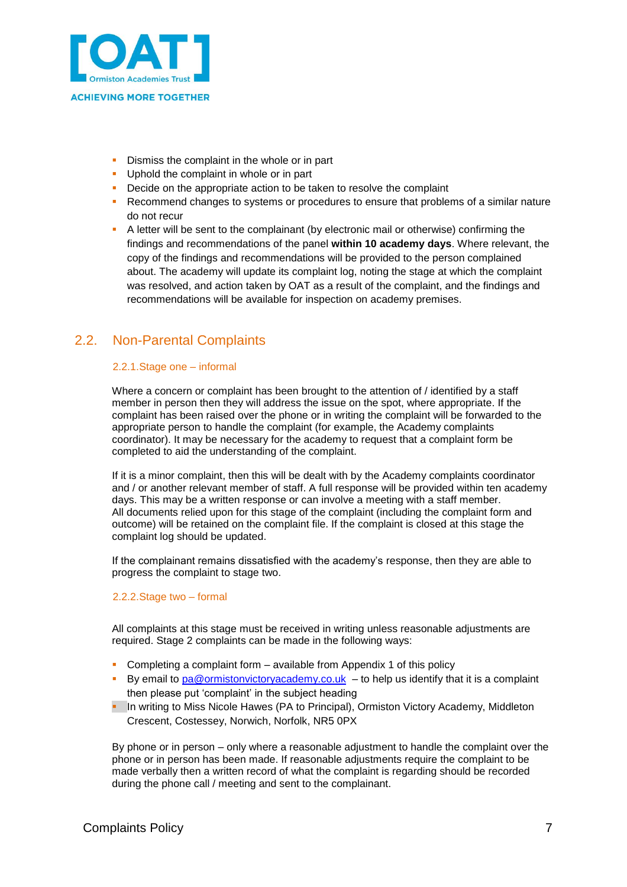

- Dismiss the complaint in the whole or in part
- **Uphold the complaint in whole or in part**
- **•** Decide on the appropriate action to be taken to resolve the complaint
- **Recommend changes to systems or procedures to ensure that problems of a similar nature** do not recur
- A letter will be sent to the complainant (by electronic mail or otherwise) confirming the findings and recommendations of the panel **within 10 academy days**. Where relevant, the copy of the findings and recommendations will be provided to the person complained about. The academy will update its complaint log, noting the stage at which the complaint was resolved, and action taken by OAT as a result of the complaint, and the findings and recommendations will be available for inspection on academy premises.

### <span id="page-6-0"></span>2.2. Non-Parental Complaints

#### 2.2.1.Stage one – informal

Where a concern or complaint has been brought to the attention of / identified by a staff member in person then they will address the issue on the spot, where appropriate. If the complaint has been raised over the phone or in writing the complaint will be forwarded to the appropriate person to handle the complaint (for example, the Academy complaints coordinator). It may be necessary for the academy to request that a complaint form be completed to aid the understanding of the complaint.

If it is a minor complaint, then this will be dealt with by the Academy complaints coordinator and / or another relevant member of staff. A full response will be provided within ten academy days. This may be a written response or can involve a meeting with a staff member. All documents relied upon for this stage of the complaint (including the complaint form and outcome) will be retained on the complaint file. If the complaint is closed at this stage the complaint log should be updated.

If the complainant remains dissatisfied with the academy's response, then they are able to progress the complaint to stage two.

#### 2.2.2.Stage two – formal

All complaints at this stage must be received in writing unless reasonable adjustments are required. Stage 2 complaints can be made in the following ways:

- Completing a complaint form available from Appendix 1 of this policy
- By email to [pa@ormistonvictoryacademy.co.uk](mailto:pa@ormistonvictoryacademy.co.uk) to help us identify that it is a complaint then please put 'complaint' in the subject heading
- **IDED In writing to Miss Nicole Hawes (PA to Principal), Ormiston Victory Academy, Middleton** Crescent, Costessey, Norwich, Norfolk, NR5 0PX

By phone or in person – only where a reasonable adjustment to handle the complaint over the phone or in person has been made. If reasonable adjustments require the complaint to be made verbally then a written record of what the complaint is regarding should be recorded during the phone call / meeting and sent to the complainant.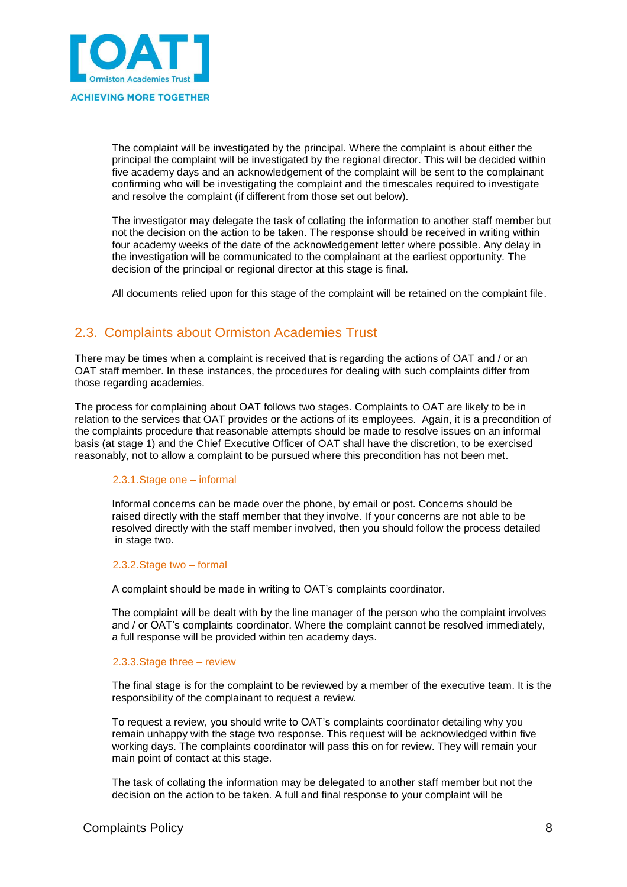

The complaint will be investigated by the principal. Where the complaint is about either the principal the complaint will be investigated by the regional director. This will be decided within five academy days and an acknowledgement of the complaint will be sent to the complainant confirming who will be investigating the complaint and the timescales required to investigate and resolve the complaint (if different from those set out below).

The investigator may delegate the task of collating the information to another staff member but not the decision on the action to be taken. The response should be received in writing within four academy weeks of the date of the acknowledgement letter where possible. Any delay in the investigation will be communicated to the complainant at the earliest opportunity. The decision of the principal or regional director at this stage is final.

All documents relied upon for this stage of the complaint will be retained on the complaint file.

### <span id="page-7-0"></span>2.3. Complaints about Ormiston Academies Trust

There may be times when a complaint is received that is regarding the actions of OAT and / or an OAT staff member. In these instances, the procedures for dealing with such complaints differ from those regarding academies.

The process for complaining about OAT follows two stages. Complaints to OAT are likely to be in relation to the services that OAT provides or the actions of its employees. Again, it is a precondition of the complaints procedure that reasonable attempts should be made to resolve issues on an informal basis (at stage 1) and the Chief Executive Officer of OAT shall have the discretion, to be exercised reasonably, not to allow a complaint to be pursued where this precondition has not been met.

#### 2.3.1.Stage one – informal

Informal concerns can be made over the phone, by email or post. Concerns should be raised directly with the staff member that they involve. If your concerns are not able to be resolved directly with the staff member involved, then you should follow the process detailed in stage two.

#### 2.3.2.Stage two – formal

A complaint should be made in writing to OAT's complaints coordinator.

The complaint will be dealt with by the line manager of the person who the complaint involves and / or OAT's complaints coordinator. Where the complaint cannot be resolved immediately, a full response will be provided within ten academy days.

#### 2.3.3.Stage three – review

The final stage is for the complaint to be reviewed by a member of the executive team. It is the responsibility of the complainant to request a review.

To request a review, you should write to OAT's complaints coordinator detailing why you remain unhappy with the stage two response. This request will be acknowledged within five working days. The complaints coordinator will pass this on for review. They will remain your main point of contact at this stage.

The task of collating the information may be delegated to another staff member but not the decision on the action to be taken. A full and final response to your complaint will be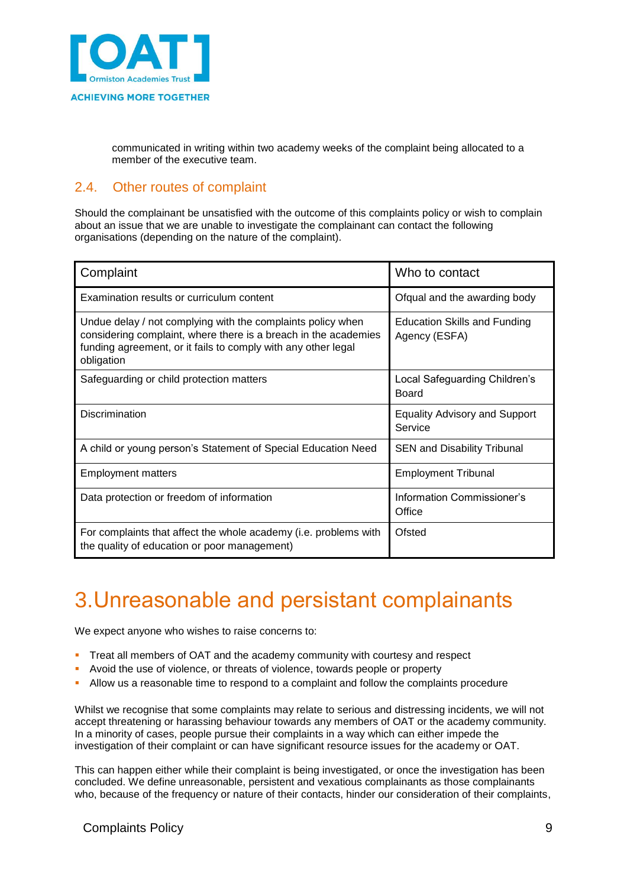

communicated in writing within two academy weeks of the complaint being allocated to a member of the executive team.

### <span id="page-8-0"></span>2.4. Other routes of complaint

Should the complainant be unsatisfied with the outcome of this complaints policy or wish to complain about an issue that we are unable to investigate the complainant can contact the following organisations (depending on the nature of the complaint).

| Complaint                                                                                                                                                                                                     | Who to contact                                  |
|---------------------------------------------------------------------------------------------------------------------------------------------------------------------------------------------------------------|-------------------------------------------------|
| Examination results or curriculum content                                                                                                                                                                     | Ofqual and the awarding body                    |
| Undue delay / not complying with the complaints policy when<br>considering complaint, where there is a breach in the academies<br>funding agreement, or it fails to comply with any other legal<br>obligation | Education Skills and Funding<br>Agency (ESFA)   |
| Safeguarding or child protection matters                                                                                                                                                                      | Local Safeguarding Children's<br>Board          |
| Discrimination                                                                                                                                                                                                | <b>Equality Advisory and Support</b><br>Service |
| A child or young person's Statement of Special Education Need                                                                                                                                                 | <b>SEN and Disability Tribunal</b>              |
| <b>Employment matters</b>                                                                                                                                                                                     | <b>Employment Tribunal</b>                      |
| Data protection or freedom of information                                                                                                                                                                     | Information Commissioner's<br>Office            |
| For complaints that affect the whole academy (i.e. problems with<br>the quality of education or poor management)                                                                                              | Ofsted                                          |

## <span id="page-8-1"></span>3.Unreasonable and persistant complainants

We expect anyone who wishes to raise concerns to:

- Treat all members of OAT and the academy community with courtesy and respect
- Avoid the use of violence, or threats of violence, towards people or property
- Allow us a reasonable time to respond to a complaint and follow the complaints procedure

Whilst we recognise that some complaints may relate to serious and distressing incidents, we will not accept threatening or harassing behaviour towards any members of OAT or the academy community. In a minority of cases, people pursue their complaints in a way which can either impede the investigation of their complaint or can have significant resource issues for the academy or OAT.

This can happen either while their complaint is being investigated, or once the investigation has been concluded. We define unreasonable, persistent and vexatious complainants as those complainants who, because of the frequency or nature of their contacts, hinder our consideration of their complaints,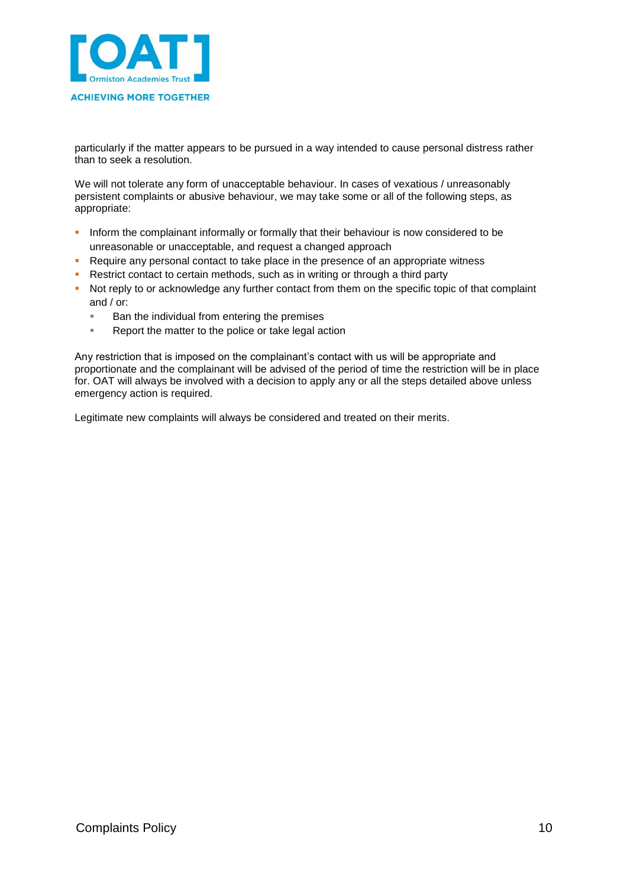

particularly if the matter appears to be pursued in a way intended to cause personal distress rather than to seek a resolution.

We will not tolerate any form of unacceptable behaviour. In cases of vexatious / unreasonably persistent complaints or abusive behaviour, we may take some or all of the following steps, as appropriate:

- Inform the complainant informally or formally that their behaviour is now considered to be unreasonable or unacceptable, and request a changed approach
- Require any personal contact to take place in the presence of an appropriate witness
- Restrict contact to certain methods, such as in writing or through a third party
- Not reply to or acknowledge any further contact from them on the specific topic of that complaint and / or:
	- **Ban the individual from entering the premises**
	- **Report the matter to the police or take legal action**

Any restriction that is imposed on the complainant's contact with us will be appropriate and proportionate and the complainant will be advised of the period of time the restriction will be in place for. OAT will always be involved with a decision to apply any or all the steps detailed above unless emergency action is required.

Legitimate new complaints will always be considered and treated on their merits.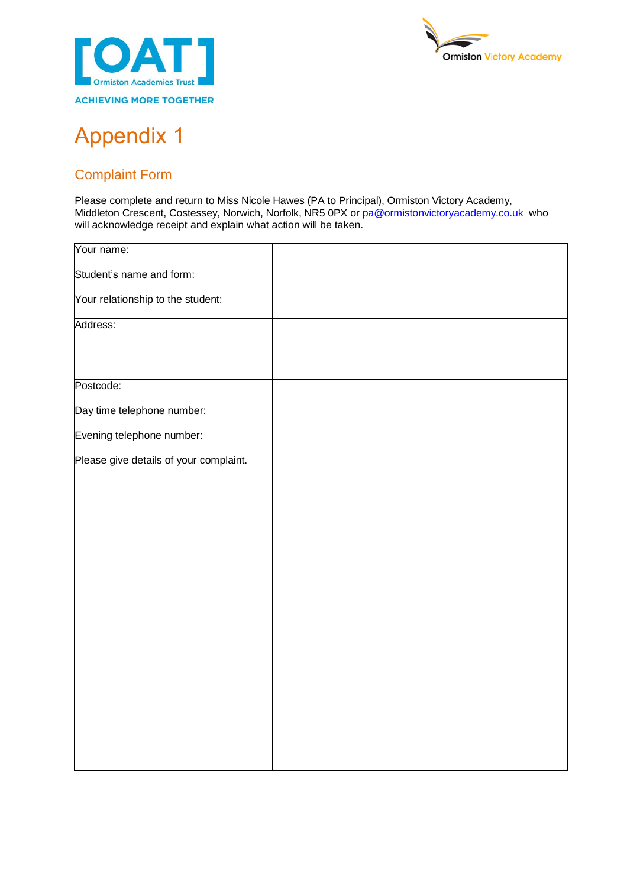



# <span id="page-10-0"></span>Appendix 1

## <span id="page-10-1"></span>Complaint Form

Please complete and return to Miss Nicole Hawes (PA to Principal), Ormiston Victory Academy, Middleton Crescent, Costessey, Norwich, Norfolk, NR5 0PX or <u>pa@ormistonvictoryacademy.co.uk</u> who will acknowledge receipt and explain what action will be taken.

| Your name:                             |  |
|----------------------------------------|--|
| Student's name and form:               |  |
| Your relationship to the student:      |  |
| Address:                               |  |
| Postcode:                              |  |
| Day time telephone number:             |  |
| Evening telephone number:              |  |
| Please give details of your complaint. |  |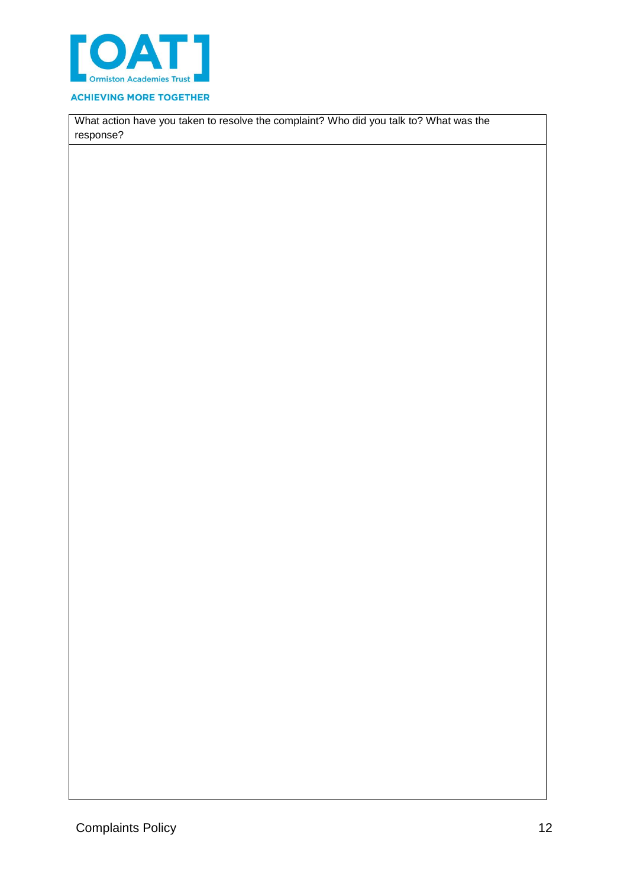

#### **ACHIEVING MORE TOGETHER**

What action have you taken to resolve the complaint? Who did you talk to? What was the response?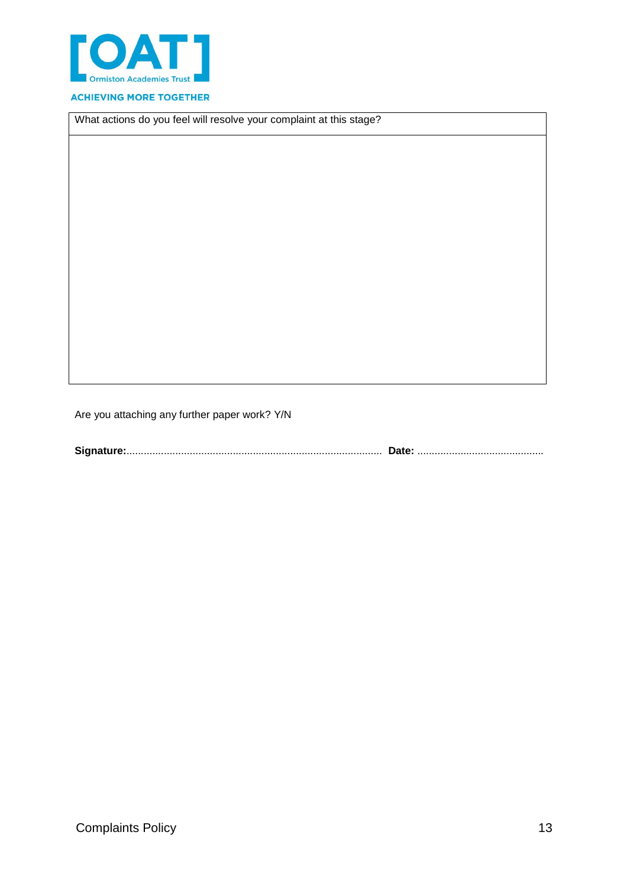

#### **ACHIEVING MORE TOGETHER**

What actions do you feel will resolve your complaint at this stage?

Are you attaching any further paper work? Y/N

**Signature:**......................................................................................... **Date:** ............................................